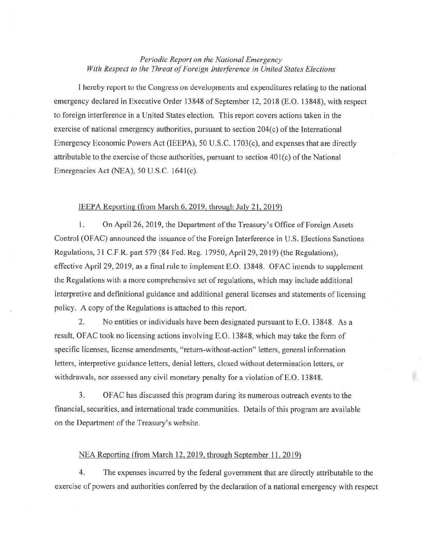## *Periodic Report on the National Emergency With Respect to the Threat of Foreign Interference in United States Elections*

I hereby report to the Congress on developments and expenditures relating to the national emergency declared in Executive Order 13848 of September 12,2018 (E.O. 13848), with respect to foreign interference in a United States election. This report covers actions taken in the exercise of national emergency authorities, pursuant to section 204(c) of the International Emergency Economic Powers Act (IEEPA), 50 U.S.C. 1703(c), and expenses that are directly attributable to the exercise of those authorities, pursuant to section  $401(c)$  of the National Emergencies Act (NEA), 50 U.S.C. I64l(c).

## IEEPA Reporting (from March 6, 2019, through July 21, 2019)

I. On April 26, 2019, the Department of the Treasury's Office of Foreign Assets Control (OFAC) announced the issuance of the Foreign Interference in U.S. Elections Sanctions Regulations, 31 C.F.R. part 579 (84 Fed. Reg. 17950, April29, 20 19) (the Regulations), effective April29, 2019, as a final rule to implement E.O. 13848. OFAC intends to supplement the Regulations with a more comprehensive set of regulations, which may include additional interpretive and definitional guidance and additional general licenses and statements of licensing policy. A copy of the Regulations is attached to this report.

2. No entities or individuals have been designated pursuant to E.O. 13848. As a result, OF AC took no licensing actions involving E.O. 13848, which may take the form of specific licenses, license amendments, "return-without-action" letters, general information letters, interpretive guidance letters, denial letters, closed without determination letters, or withdrawals, nor assessed any civil monetary penalty for a violation of E.O. 13848.

3. OFAC has discussed this program during its numerous outreach events to the financial, securities, and international trade communities. Details ofthis program are available on the Department of the Treasury's website.

Ø.

## NEA Reporting (from March 12, 2019, through September 11, 2019)

4. The expenses incurred by the federal government that are directly attributable to the exercise of powers and authorities conferred by the declaration of a national emergency with respect